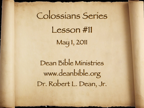# Colossians Series Lesson #11 May 1, 2011

Dean Bible Ministries [www.deanbible.org](http://www.deanbible.org) [Dr. Robert L. Dean, Jr.](http://www.deanbible.org)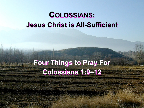# **COLOSSIANS: Jesus Christ is All-Sufficient**

# **Four Things to Pray For Colossians 1:9–12**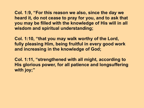**Col. 1:9, "For this reason we also, since the day we heard it, do not cease to pray for you, and to ask that you may be filled with the knowledge of His will in all wisdom and spiritual understanding;** 

**Col. 1:10, "that you may walk worthy of the Lord, fully pleasing Him, being fruitful in every good work and increasing in the knowledge of God;** 

**Col. 1:11, "strengthened with all might, according to His glorious power, for all patience and longsuffering with joy;"**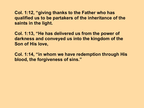**Col. 1:12, "giving thanks to the Father who has qualified us to be partakers of the inheritance of the saints in the light.** 

**Col. 1:13, "He has delivered us from the power of darkness and conveyed us into the kingdom of the Son of His love,** 

**Col. 1:14, "in whom we have redemption through His blood, the forgiveness of sins."**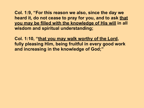**Col. 1:9, "For this reason we also, since the day we heard it, do not cease to pray for you, and to ask that you may be filled with the knowledge of His will in all wisdom and spiritual understanding;** 

**Col. 1:10, "that you may walk worthy of the Lord, fully pleasing Him, being fruitful in every good work and increasing in the knowledge of God;"**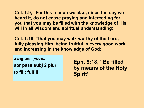**Col. 1:9, "For this reason we also, since the day we heard it, do not cease praying and interceding for you that you may be filled with the knowledge of His will in all wisdom and spiritual understanding;** 

**Col. 1:10, "that you may walk worthy of the Lord, fully pleasing Him, being fruitful in every good work and increasing in the knowledge of God;"**

 $πληρόω$  *pleroo* **aor pass subj 2 plur to fill; fulfill**

**Eph. 5:18, "Be filled by means of the Holy Spirit"**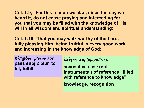**Col. 1:9, "For this reason we also, since the day we heard it, do not cease praying and interceding for you that you may be filled with the knowledge of His will in all wisdom and spiritual understanding;** 

**Col. 1:10, "that you may walk worthy of the Lord, fully pleasing Him, being fruitful in every good work and increasing in the knowledge of God;"**

**πληρόω** *pleroo* aor **pass subj 2 plur to fill; fulfill**

**e˙pi÷gnwsiß (***epignoœsis***),** 

**accusative case (not instrumental) of reference "filled with reference to knowledge" knowledge, recognition**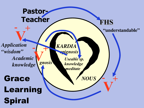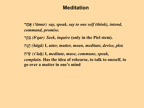# **Meditation**

**rAmDa** *(}aœmar) say, speak, say to one self (think), intend, command, promise.*

**råqV;b** *(b§qar) Seek, inquire* **(only in the Piel stem).**

**hDgDh** *(haœga®)* **I,** *utter, mutter, moan, meditate, devise, plot.*

**AjyIc** *(s¿ˆîah!)* **I,** *meditate, muse, commune, speak, complain.* **Has the idea of rehearse, to talk to oneself, to go over a matter in one's mind**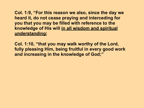**Col. 1:9, "For this reason we also, since the day we heard it, do not cease praying and interceding for you that you may be filled with reference to the knowledge of His will in all wisdom and spiritual understanding;**

**Col. 1:10, "that you may walk worthy of the Lord, fully pleasing Him, being fruitful in every good work and increasing in the knowledge of God;"**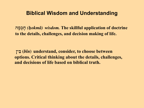**hDmVkDj** *(h!okma®) wisdom.* **The skillful application of doctrine to the details, challenges, and decision making of life.**

**NyI;b (***bˆîn***) understand, consider, to choose between options. Critical thinking about the details, challenges, and decisions of life based on biblical truth.**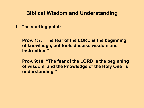**1. The starting point:** 

**Prov. 1:7, "The fear of the LORD is the beginning of knowledge, but fools despise wisdom and instruction."**

**Prov. 9:10, "The fear of the LORD is the beginning of wisdom, and the knowledge of the Holy One is understanding."**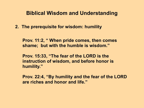**2. The prerequisite for wisdom: humility**

**Prov. 11:2, " When pride comes, then comes shame; but with the humble is wisdom."**

**Prov. 15:33, "The fear of the LORD is the instruction of wisdom, and before honor is humility."**

**Prov. 22:4, "By humility and the fear of the LORD are riches and honor and life."**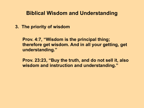**3. The priority of wisdom**

**Prov. 4:7, "Wisdom is the principal thing; therefore get wisdom. And in all your getting, get understanding."**

**Prov. 23:23, "Buy the truth, and do not sell it, also wisdom and instruction and understanding."**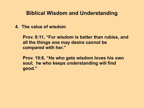**4. The value of wisdom**

**Prov. 8:11, "For wisdom is better than rubies, and all the things one may desire cannot be compared with her."**

**Prov. 19:8, "He who gets wisdom loves his own soul; he who keeps understanding will find good."**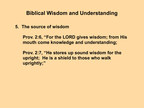**5. The source of wisdom**

**Prov. 2:6, "For the LORD gives wisdom; from His mouth come knowledge and understanding;** 

**Prov. 2:7, "He stores up sound wisdom for the upright; He is a shield to those who walk uprightly;"**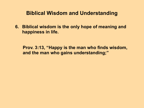**6. Biblical wisdom is the only hope of meaning and happiness in life.**

**Prov. 3:13, "Happy is the man who finds wisdom, and the man who gains understanding;"**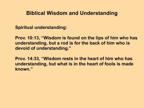**Spiritual understanding:** 

**Prov. 10:13, "Wisdom is found on the lips of him who has understanding, but a rod is for the back of him who is devoid of understanding."**

**Prov. 14:33, "Wisdom rests in the heart of him who has understanding, but what is in the heart of fools is made known."**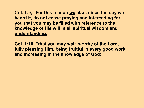**Col. 1:9, "For this reason we also, since the day we heard it, do not cease praying and interceding for you that you may be filled with reference to the knowledge of His will in all spiritual wisdom and understanding;**

**Col. 1:10, "that you may walk worthy of the Lord, fully pleasing Him, being fruitful in every good work and increasing in the knowledge of God;"**